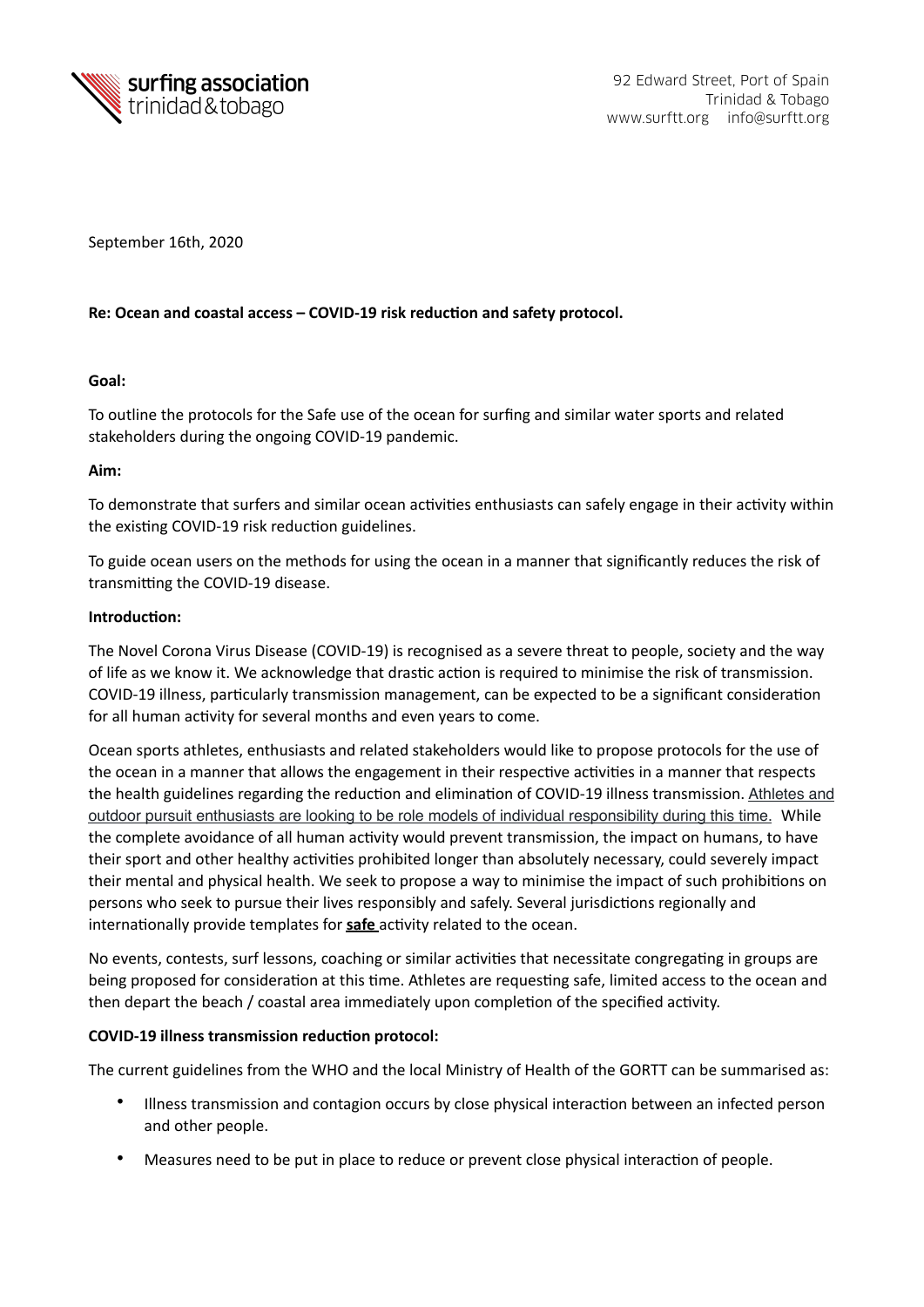

September 16th, 2020

# Re: Ocean and coastal access - COVID-19 risk reduction and safety protocol.

#### Goal:

To outline the protocols for the Safe use of the ocean for surfing and similar water sports and related stakeholders during the ongoing COVID-19 pandemic.

# Aim:

To demonstrate that surfers and similar ocean activities enthusiasts can safely engage in their activity within the existing COVID-19 risk reduction guidelines.

To guide ocean users on the methods for using the ocean in a manner that significantly reduces the risk of transmitting the COVID-19 disease.

# **Introduction:**

The Novel Corona Virus Disease (COVID-19) is recognised as a severe threat to people, society and the way of life as we know it. We acknowledge that drastic action is required to minimise the risk of transmission. COVID-19 illness, particularly transmission management, can be expected to be a significant consideration for all human activity for several months and even years to come.

Ocean sports athletes, enthusiasts and related stakeholders would like to propose protocols for the use of the ocean in a manner that allows the engagement in their respective activities in a manner that respects the health guidelines regarding the reduction and elimination of COVID-19 illness transmission. Athletes and outdoor pursuit enthusiasts are looking to be role models of individual responsibility during this time. While the complete avoidance of all human activity would prevent transmission, the impact on humans, to have their sport and other healthy activities prohibited longer than absolutely necessary, could severely impact their mental and physical health. We seek to propose a way to minimise the impact of such prohibitions on persons who seek to pursue their lives responsibly and safely. Several jurisdictions regionally and internationally provide templates for **safe** activity related to the ocean.

No events, contests, surf lessons, coaching or similar activities that necessitate congregating in groups are being proposed for consideration at this time. Athletes are requesting safe, limited access to the ocean and then depart the beach / coastal area immediately upon completion of the specified activity.

#### **COVID-19 illness transmission reduction protocol:**

The current guidelines from the WHO and the local Ministry of Health of the GORTT can be summarised as:

- Illness transmission and contagion occurs by close physical interaction between an infected person and other people.
- Measures need to be put in place to reduce or prevent close physical interaction of people.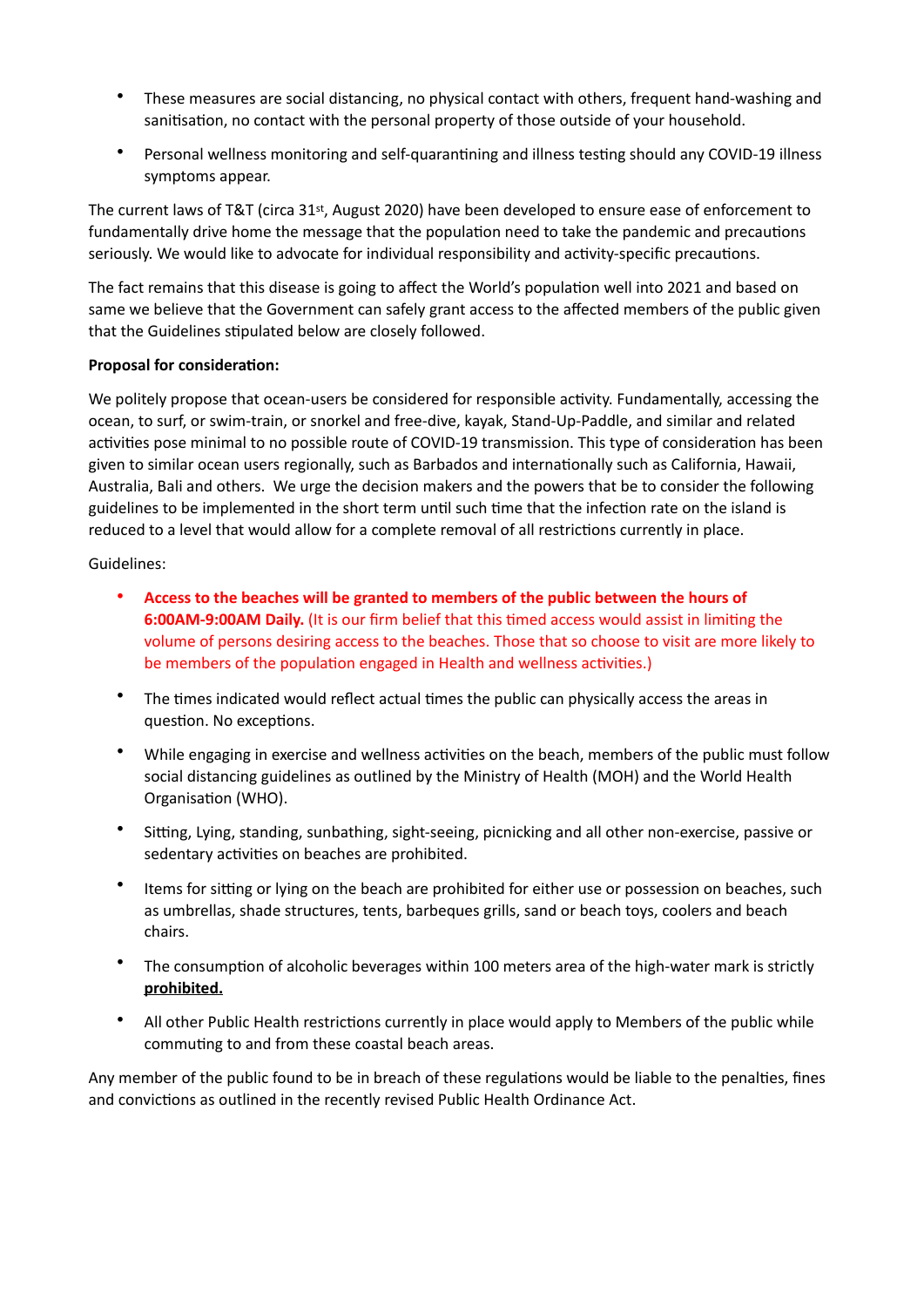- These measures are social distancing, no physical contact with others, frequent hand-washing and sanitisation, no contact with the personal property of those outside of your household.
- Personal wellness monitoring and self-quarantining and illness testing should any COVID-19 illness symptoms appear.

The current laws of T&T (circa  $31^{st}$ , August 2020) have been developed to ensure ease of enforcement to fundamentally drive home the message that the population need to take the pandemic and precautions seriously. We would like to advocate for individual responsibility and activity-specific precautions.

The fact remains that this disease is going to affect the World's population well into 2021 and based on same we believe that the Government can safely grant access to the affected members of the public given that the Guidelines stipulated below are closely followed.

# **Proposal for consideration:**

We politely propose that ocean-users be considered for responsible activity. Fundamentally, accessing the ocean, to surf, or swim-train, or snorkel and free-dive, kayak, Stand-Up-Paddle, and similar and related activities pose minimal to no possible route of COVID-19 transmission. This type of consideration has been given to similar ocean users regionally, such as Barbados and internationally such as California, Hawaii, Australia, Bali and others. We urge the decision makers and the powers that be to consider the following guidelines to be implemented in the short term until such time that the infection rate on the island is reduced to a level that would allow for a complete removal of all restrictions currently in place.

Guidelines: 

- Access to the beaches will be granted to members of the public between the hours of **6:00AM-9:00AM Daily.** (It is our firm belief that this timed access would assist in limiting the volume of persons desiring access to the beaches. Those that so choose to visit are more likely to be members of the population engaged in Health and wellness activities.)
- The times indicated would reflect actual times the public can physically access the areas in question. No exceptions.
- While engaging in exercise and wellness activities on the beach, members of the public must follow social distancing guidelines as outlined by the Ministry of Health (MOH) and the World Health Organisation (WHO).
- Sitting, Lying, standing, sunbathing, sight-seeing, picnicking and all other non-exercise, passive or sedentary activities on beaches are prohibited.
- Items for sitting or lying on the beach are prohibited for either use or possession on beaches, such as umbrellas, shade structures, tents, barbeques grills, sand or beach toys, coolers and beach chairs.
- The consumption of alcoholic beverages within 100 meters area of the high-water mark is strictly **prohibited.**
- All other Public Health restrictions currently in place would apply to Members of the public while commuting to and from these coastal beach areas.

Any member of the public found to be in breach of these regulations would be liable to the penalties, fines and convictions as outlined in the recently revised Public Health Ordinance Act.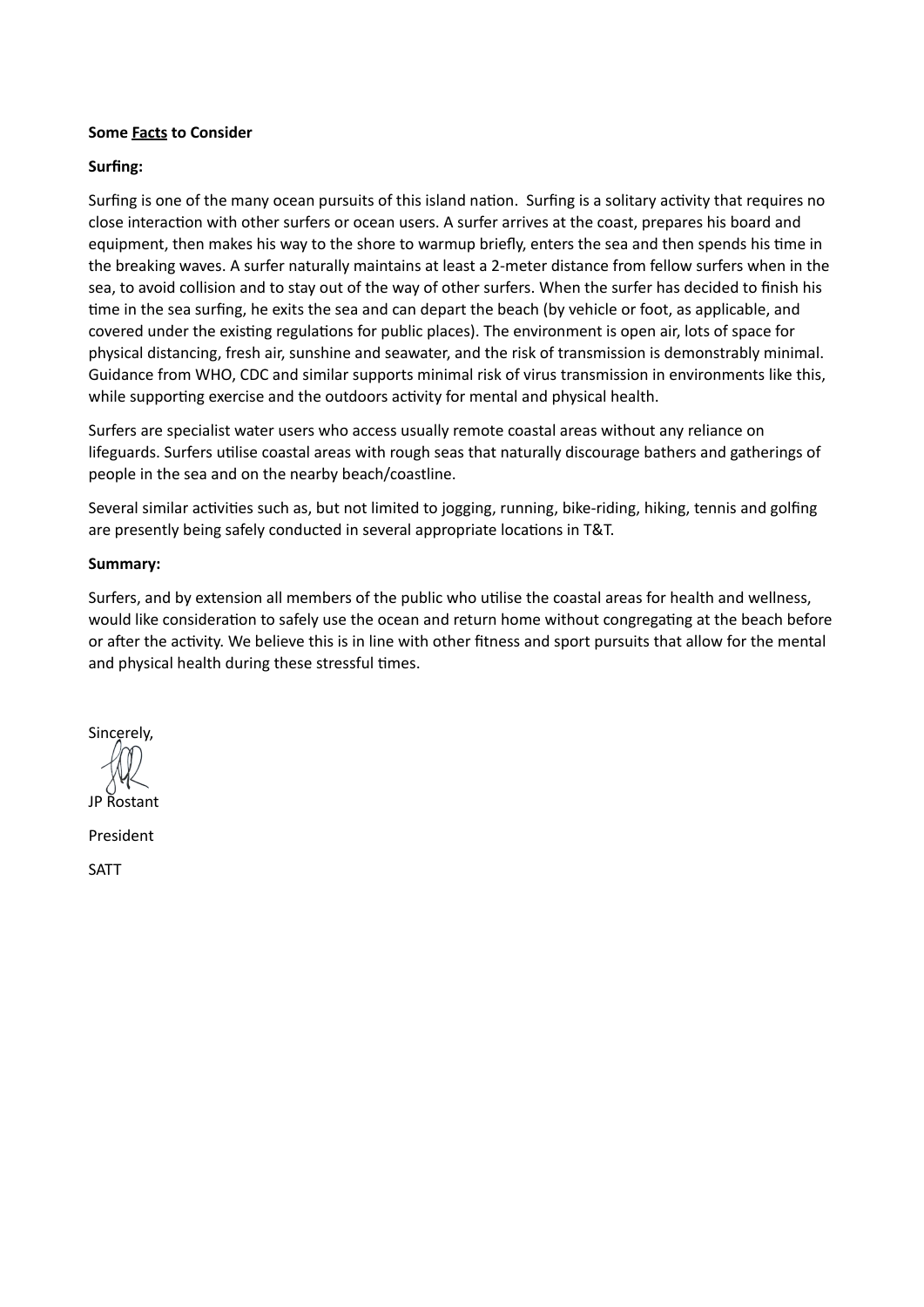#### **Some Facts to Consider**

#### Surfing:

Surfing is one of the many ocean pursuits of this island nation. Surfing is a solitary activity that requires no close interaction with other surfers or ocean users. A surfer arrives at the coast, prepares his board and equipment, then makes his way to the shore to warmup briefly, enters the sea and then spends his time in the breaking waves. A surfer naturally maintains at least a 2-meter distance from fellow surfers when in the sea, to avoid collision and to stay out of the way of other surfers. When the surfer has decided to finish his time in the sea surfing, he exits the sea and can depart the beach (by vehicle or foot, as applicable, and covered under the existing regulations for public places). The environment is open air, lots of space for physical distancing, fresh air, sunshine and seawater, and the risk of transmission is demonstrably minimal. Guidance from WHO, CDC and similar supports minimal risk of virus transmission in environments like this, while supporting exercise and the outdoors activity for mental and physical health.

Surfers are specialist water users who access usually remote coastal areas without any reliance on lifeguards. Surfers utilise coastal areas with rough seas that naturally discourage bathers and gatherings of people in the sea and on the nearby beach/coastline.

Several similar activities such as, but not limited to jogging, running, bike-riding, hiking, tennis and golfing are presently being safely conducted in several appropriate locations in T&T.

#### **Summary:**

Surfers, and by extension all members of the public who utilise the coastal areas for health and wellness, would like consideration to safely use the ocean and return home without congregating at the beach before or after the activity. We believe this is in line with other fitness and sport pursuits that allow for the mental and physical health during these stressful times.

Sincerely, JP Rostant 

President 

SATT